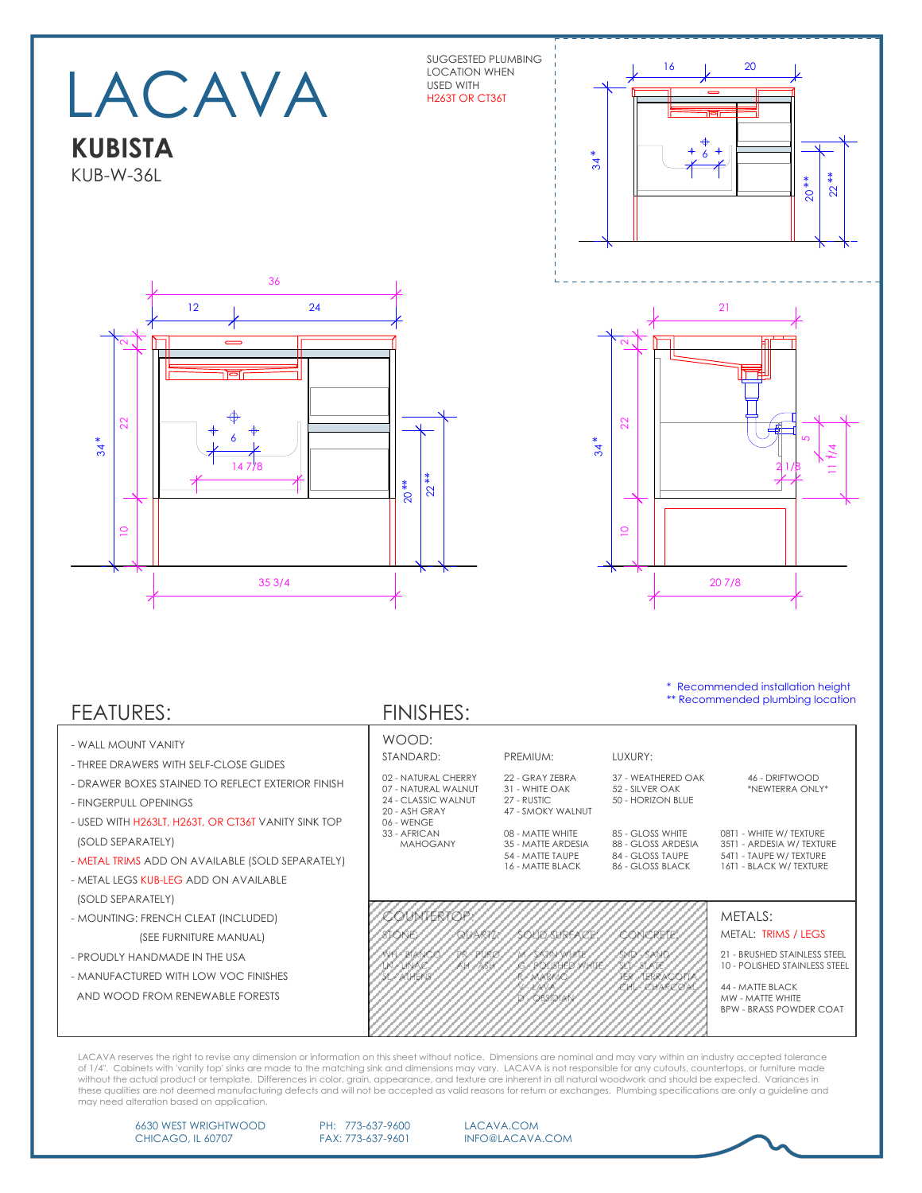SUGGESTED PLUMBING LOCATION WHEN USED WITH H263T OR CT36T

LACAVA

**KUBISTA** KUB-W-36L





\* Recommended installation height \*\* Recommended plumbing location

## FEATURES:

- WALL MOUNT VANITY
- THREE DRAWERS WITH SELF-CLOSE GLIDES
- DRAWER BOXES STAINED TO REFLECT EXTERIOR
- FINGERPULL OPENINGS
- USED WITH H263LT, H263T, OR CT36T VANITY SIN (SOLD SEPARATELY)
- METAL TRIMS ADD ON AVAILABLE (SOLD SEPAR
- METAL LEGS KUB-LEG ADD ON AVAILABLE (SOLD SEPARATELY)
- MOUNTING: FRENCH CLEAT (INCLUDED) (SEE FURNITURE MANUAL)
- PROUDLY HANDMADE IN THE USA
- MANUFACTURED WITH LOW VOC FINISHES
- AND WOOD FROM RENEWABLE FORESTS

FINISHES:

|                   | WOOD:<br>STANDARD:<br>02 - NATURAL CHERRY<br>07 - NATURAL WALNUT<br>24 - CLASSIC WALNUT<br>20 - ASH GRAY |                     | PREMIUM:                                                                       | LUXURY:                                                                        |                                                                                                          |  |
|-------------------|----------------------------------------------------------------------------------------------------------|---------------------|--------------------------------------------------------------------------------|--------------------------------------------------------------------------------|----------------------------------------------------------------------------------------------------------|--|
| <b>FINISH</b>     |                                                                                                          |                     | 22 - GRAY ZEBRA<br>31 - WHITE OAK<br>27 - RUSTIC<br>47 - SMOKY WALNUT          | 37 - WEATHERED OAK<br>52 - SILVER OAK<br>50 - HORIZON BLUE                     | 46 - DRIFTWOOD<br>*NEWTERRA ONLY*                                                                        |  |
| JK TOP<br>RATELY) | 06 - WENGE<br>33 - AFRICAN<br>MAHOGANY                                                                   |                     | 08 - MATTE WHITE<br>35 - MATTE ARDESIA<br>54 - MATTE TAUPE<br>16 - MATTE BLACK | 85 - GLOSS WHITE<br>88 - GLOSS ARDESIA<br>84 - GLOSS TAUPE<br>86 - GLOSS BLACK | 08T1 - WHITE W/ TEXTURE<br>35T1 - ARDESIA W/TEXTURE<br>54T1 - TAUPE W/ TEXTURE<br>16T1 - BLACK W/TEXTURE |  |
|                   | <b>COUNTERTOP:</b>                                                                                       |                     |                                                                                |                                                                                | METALS:                                                                                                  |  |
|                   | STONE:                                                                                                   | QUARTZ:             | <b>SOLID SURFACE:</b>                                                          | <b>CONCRETE:</b>                                                               | METAL: TRIMS / LEGS                                                                                      |  |
|                   | WH-BIANCO<br>LN-LINAC<br>SL - ATHENS                                                                     | PR-PURO<br>AH - ASH | M - SATIN WHITE<br><b>G - POLISHED WHITE</b><br>R-MARMO                        | SND - SAND<br>SLT - SLATE<br><b>TER - TERRACOTTA</b>                           | 21 - BRUSHED STAINLESS STEEL<br><b>10 - POLISHED STAINLESS STEEL</b>                                     |  |
|                   |                                                                                                          |                     | V-LAVA<br>D - OBSIDIAN                                                         | CHL - CHARCOAL                                                                 | 44 - MATTE BLACK<br>MW - MATTE WHITE<br><b>BPW - BRASS POWDER COAT</b>                                   |  |

LACAVA reserves the right to revise any dimension or information on this sheet without notice. Dimensions are nominal and may vary within an industry accepted tolerance of 1/4". Cabinets with 'vanity top' sinks are made to the matching sink and dimensions may vary. LACAVA is not responsible for any cutouts, countertops, or furniture made<br>without the actual product or template. Differences may need alteration based on application.

6630 WEST WRIGHTWOOD CHICAGO, IL 60707

PH: 773-637-9600 FAX: 773-637-9601

LACAVA.COM INFO@LACAVA.COM